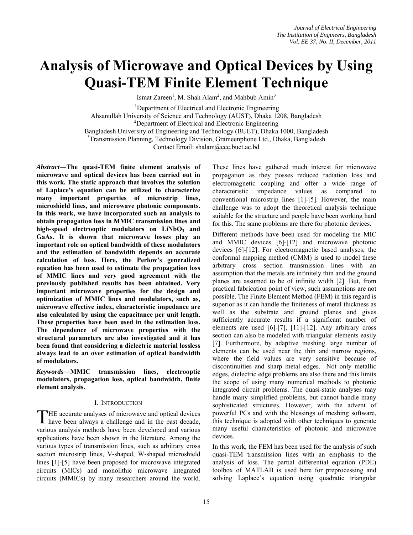# **Analysis of Microwave and Optical Devices by Using Quasi-TEM Finite Element Technique**

Ismat Zareen<sup>1</sup>, M. Shah Alam<sup>2</sup>, and Mahbub Amin<sup>3</sup>

<sup>1</sup>Department of Electrical and Electronic Engineering Ahsanullah University of Science and Technology (AUST), Dhaka 1208, Bangladesh 2 Department of Electrical and Electronic Engineering Bangladesh University of Engineering and Technology (BUET), Dhaka 1000, Bangladesh <sup>3</sup>Transmission Planning, Technology Division, Grameenphone Ltd., Dhaka, Bangladesh Contact Email: shalam@eee.buet.ac.bd

*Abstract***―The quasi-TEM finite element analysis of microwave and optical devices has been carried out in this work. The static approach that involves the solution of Laplace's equation can be utilized to characterize many important properties of microstrip lines, microshield lines, and microwave photonic components. In this work, we have incorporated such an analysis to obtain propagation loss in MMIC transmission lines and**  high-speed electrooptic modulators on LiNbO<sub>3</sub> and **GaAs. It is shown that microwave losses play an important role on optical bandwidth of these modulators and the estimation of bandwidth depends on accurate calculation of loss. Here, the Perlow's generalized equation has been used to estimate the propagation loss of MMIC lines and very good agreement with the previously published results has been obtained. Very important microwave properties for the design and optimization of MMIC lines and modulators, such as, microwave effective index, characteristic impedance are also calculated by using the capacitance per unit length. These properties have been used in the estimation loss. The dependence of microwave properties with the structural parameters are also investigated and it has been found that considering a dielectric material lossless always lead to an over estimation of optical bandwidth of modulators.** 

*Keywords***―MMIC transmission lines, electrooptic modulators, propagation loss, optical bandwidth, finite element analysis.** 

## I. INTRODUCTION

HE accurate analyses of microwave and optical devices THE accurate analyses of microwave and optical devices have been always a challenge and in the past decade, various analysis methods have been developed and various applications have been shown in the literature. Among the various types of transmission lines, such as arbitrary cross section microstrip lines, V-shaped, W-shaped microshield lines [1]-[5] have been proposed for microwave integrated circuits (MICs) and monolithic microwave integrated circuits (MMICs) by many researchers around the world.

These lines have gathered much interest for microwave propagation as they posses reduced radiation loss and electromagnetic coupling and offer a wide range of characteristic impedance values as compared to conventional microstrip lines [1]-[5]. However, the main challenge was to adopt the theoretical analysis technique suitable for the structure and people have been working hard for this. The same problems are there for photonic devices.

Different methods have been used for modeling the MIC and MMIC devices [6]-[12] and microwave photonic devices [6]-[12]. For electromagnetic based analyses, the conformal mapping method (CMM) is used to model these arbitrary cross section transmission lines with an assumption that the metals are infinitely thin and the ground planes are assumed to be of infinite width [2]. But, from practical fabrication point of view, such assumptions are not possible. The Finite Element Method (FEM) in this regard is superior as it can handle the finiteness of metal thickness as well as the substrate and ground planes and gives sufficiently accurate results if a significant number of elements are used [6]-[7], [11]-[12]. Any arbitrary cross section can also be modeled with triangular elements easily [7]. Furthermore, by adaptive meshing large number of elements can be used near the thin and narrow regions, where the field values are very sensitive because of discontinuities and sharp metal edges. Not only metallic edges, dielectric edge problems are also there and this limits the scope of using many numerical methods to photonic integrated circuit problems. The quasi-static analyses may handle many simplified problems, but cannot handle many sophisticated structures. However, with the advent of powerful PCs and with the blessings of meshing software, this technique is adopted with other techniques to generate many useful characteristics of photonic and microwave devices.

In this work, the FEM has been used for the analysis of such quasi-TEM transmission lines with an emphasis to the analysis of loss. The partial differential equation (PDE) toolbox of MATLAB is used here for preprocessing and solving Laplace's equation using quadratic triangular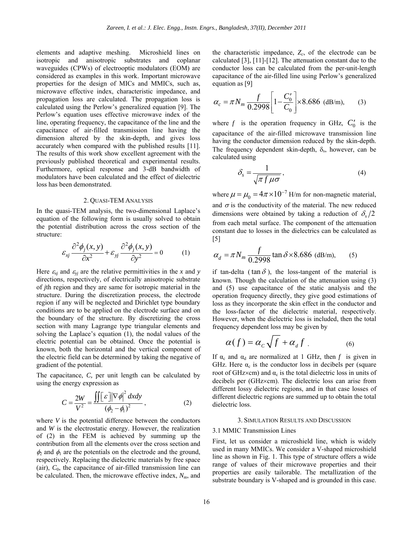elements and adaptive meshing. Microshield lines on isotropic and anisotropic substrates and coplanar waveguides (CPWs) of electrooptic modulators (EOM) are considered as examples in this work. Important microwave properties for the design of MICs and MMICs, such as, microwave effective index, characteristic impedance, and propagation loss are calculated. The propagation loss is calculated using the Perlow's generalized equation [9]. The Perlow's equation uses effective microwave index of the line, operating frequency, the capacitance of the line and the capacitance of air-filled transmission line having the dimension altered by the skin-depth, and gives loss accurately when compared with the published results [11]. The results of this work show excellent agreement with the previously published theoretical and experimental results. Furthermore, optical response and 3-dB bandwidth of modulators have been calculated and the effect of dielectric loss has been demonstrated.

## 2. QUASI-TEM ANALYSIS

In the quasi-TEM analysis, the two-dimensional Laplace's equation of the following form is usually solved to obtain the potential distribution across the cross section of the structure:

$$
\varepsilon_{xj} \frac{\partial^2 \phi_j(x, y)}{\partial x^2} + \varepsilon_{yj} \frac{\partial^2 \phi_j(x, y)}{\partial y^2} = 0 \tag{1}
$$

Here  $\varepsilon_{xj}$  and  $\varepsilon_{yj}$  are the relative permittivities in the *x* and *y* directions, respectively, of electrically anisotropic substrate of *j*th region and they are same for isotropic material in the structure. During the discretization process, the electrode region if any will be neglected and Dirichlet type boundary conditions are to be applied on the electrode surface and on the boundary of the structure. By discretizing the cross section with many Lagrange type triangular elements and solving the Laplace's equation (1), the nodal values of the electric potential can be obtained. Once the potential is known, both the horizontal and the vertical component of the electric field can be determined by taking the negative of gradient of the potential.

The capacitance, *C,* per unit length can be calculated by using the energy expression as

$$
C = \frac{2W}{V^2} = \frac{\iint [\varepsilon] |\nabla \phi|^2 dxdy}{(\phi_2 - \phi_1)^2},
$$
 (2)

where *V* is the potential difference between the conductors and *W* is the electrostatic energy. However, the realization of (2) in the FEM is achieved by summing up the contribution from all the elements over the cross section and  $\phi_2$  and  $\phi_1$  are the potentials on the electrode and the ground, respectively. Replacing the dielectric materials by free space (air),  $C_0$ , the capacitance of air-filled transmission line can be calculated. Then, the microwave effective index, *Nm*, and the characteristic impedance,  $Z_c$ , of the electrode can be calculated [3], [11]-[12]. The attenuation constant due to the conductor loss can be calculated from the per-unit-length capacitance of the air-filled line using Perlow's generalized equation as [9]

$$
\alpha_c = \pi N_m \frac{f}{0.2998} \left[ 1 - \frac{C_0'}{C_0} \right] \times 8.686 \text{ (dB/m)}, \quad (3)
$$

where  $f$  is the operation frequency in GHz,  $C'_0$  is the capacitance of the air-filled microwave transmission line having the conductor dimension reduced by the skin-depth. The frequency dependent skin-depth,  $\delta_s$ , however, can be calculated using

$$
\delta_s = \frac{1}{\sqrt{\pi f \mu \sigma}},\tag{4}
$$

where  $\mu = \mu_0 = 4\pi \times 10^{-7}$  H/m for non-magnetic material, and  $\sigma$  is the conductivity of the material. The new reduced dimensions were obtained by taking a reduction of  $\delta_{s}/2$ from each metal surface. The component of the attenuation constant due to losses in the dielectrics can be calculated as [5]

$$
\alpha_d = \pi N_m \frac{f}{0.2998} \tan \delta \times 8.686 \text{ (dB/m)}, \qquad (5)
$$

if tan-delta ( $\tan \delta$ ), the loss-tangent of the material is known. Though the calculation of the attenuation using (3) and (5) use capacitance of the static analysis and the operation frequency directly, they give good estimations of loss as they incorporate the skin effect in the conductor and the loss-factor of the dielectric material, respectively. However, when the dielectric loss is included, then the total frequency dependent loss may be given by

$$
\alpha(f) = \alpha_c \sqrt{f} + \alpha_d f \tag{6}
$$

If  $\alpha_c$  and  $\alpha_d$  are normalized at 1 GHz, then *f* is given in GHz. Here  $\alpha_c$  is the conductor loss in decibels per (square root of GHz $\times$ cm) and  $\alpha_c$  is the total dielectric loss in units of decibels per (GHz×cm). The dielectric loss can arise from different lossy dielectric regions, and in that case losses of different dielectric regions are summed up to obtain the total dielectric loss.

#### 3. SIMULATION RESULTS AND DISCUSSION

#### 3.1 MMIC Transmission Lines

First, let us consider a microshield line, which is widely used in many MMICs. We consider a V-shaped microshield line as shown in Fig. 1. This type of structure offers a wide range of values of their microwave properties and their properties are easily tailorable. The metallization of the substrate boundary is V-shaped and is grounded in this case.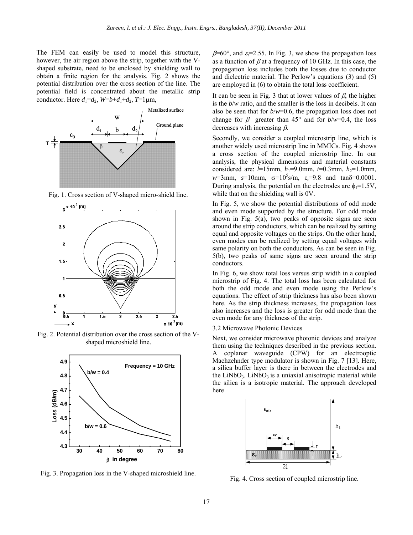The FEM can easily be used to model this structure, however, the air region above the strip, together with the Vshaped substrate, need to be enclosed by shielding wall to obtain a finite region for the analysis. Fig. 2 shows the potential distribution over the cross section of the line. The potential field is concentrated about the metallic strip conductor. Here  $d_1 = d_2$ ,  $W = b + d_1 + d_2$ ,  $T = 1 \mu m$ ,



Fig. 1. Cross section of V-shaped micro-shield line.



Fig. 2. Potential distribution over the cross section of the Vshaped microshield line.



Fig. 3. Propagation loss in the V-shaped microshield line.

 $\beta$ =60°, and  $\varepsilon$ =2.55. In Fig. 3, we show the propagation loss as a function of  $\beta$  at a frequency of 10 GHz. In this case, the propagation loss includes both the losses due to conductor and dielectric material. The Perlow's equations (3) and (5) are employed in (6) to obtain the total loss coefficient.

It can be seen in Fig. 3 that at lower values of  $\beta$ , the higher is the *b*/*w* ratio, and the smaller is the loss in decibels. It can also be seen that for *b*/*w*=0.6, the propagation loss does not change for  $\beta$  greater than 45° and for  $b/w=0.4$ , the loss decreases with increasing  $\beta$ .

Secondly, we consider a coupled microstrip line, which is another widely used microstrip line in MMICs. Fig. 4 shows a cross section of the coupled microstrip line. In our analysis, the physical dimensions and material constants considered are:  $l=15$ mm,  $h_1=9.0$ mm,  $t=0.3$ mm,  $h_2=1.0$ mm,  $w=3$ mm,  $s=10$ mm,  $\sigma=10^5$ s/m,  $\varepsilon_r=9.8$  and tan $\delta=0.0001$ . During analysis, the potential on the electrodes are  $\phi_1 = 1.5V$ , while that on the shielding wall is 0V.

In Fig. 5, we show the potential distributions of odd mode and even mode supported by the structure. For odd mode shown in Fig. 5(a), two peaks of opposite signs are seen around the strip conductors, which can be realized by setting equal and opposite voltages on the strips. On the other hand, even modes can be realized by setting equal voltages with same polarity on both the conductors. As can be seen in Fig. 5(b), two peaks of same signs are seen around the strip conductors.

In Fig. 6, we show total loss versus strip width in a coupled microstrip of Fig. 4. The total loss has been calculated for both the odd mode and even mode using the Perlow's equations. The effect of strip thickness has also been shown here. As the strip thickness increases, the propagation loss also increases and the loss is greater for odd mode than the even mode for any thickness of the strip.

## 3.2 Microwave Photonic Devices

Next, we consider microwave photonic devices and analyze them using the techniques described in the previous section. A coplanar waveguide (CPW) for an electrooptic Machzehnder type modulator is shown in Fig. 7 [13]. Here, a silica buffer layer is there in between the electrodes and the LiNbO<sub>3</sub>. LiNbO<sub>3</sub> is a uniaxial anisotropic material while the silica is a isotropic material. The approach developed here



Fig. 4. Cross section of coupled microstrip line.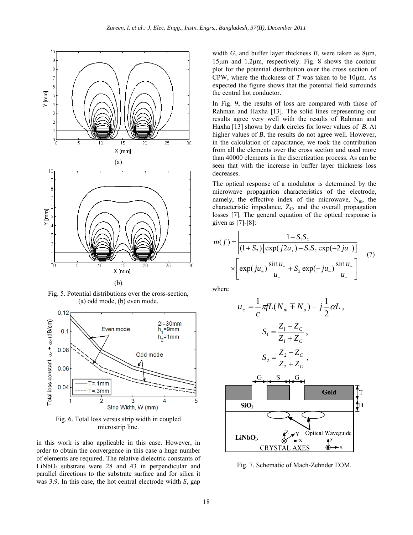

Fig. 5. Potential distributions over the cross-section, (a) odd mode, (b) even mode.



Fig. 6. Total loss versus strip width in coupled microstrip line.

in this work is also applicable in this case. However, in order to obtain the convergence in this case a huge number of elements are required. The relative dielectric constants of  $LiNbO<sub>3</sub>$  substrate were 28 and 43 in perpendicular and parallel directions to the substrate surface and for silica it was 3.9. In this case, the hot central electrode width *S*, gap width *G*, and buffer layer thickness *B*, were taken as 8µm, 15µm and 1.2µm, respectively. Fig. 8 shows the contour plot for the potential distribution over the cross section of CPW, where the thickness of  $T$  was taken to be 10 $\mu$ m. As expected the figure shows that the potential field surrounds the central hot conductor.

In Fig. 9, the results of loss are compared with those of Rahman and Haxha [13]. The solid lines representing our results agree very well with the results of Rahman and Haxha [13] shown by dark circles for lower values of *B*. At higher values of *B*, the results do not agree well. However, in the calculation of capacitance, we took the contribution from all the elements over the cross section and used more than 40000 elements in the discretization process. As can be seen that with the increase in buffer layer thickness loss decreases.

The optical response of a modulator is determined by the microwave propagation characteristics of the electrode, namely, the effective index of the microwave,  $N_m$ , the characteristic impedance,  $Z_C$ , and the overall propagation losses [7]. The general equation of the optical response is given as [7]-[8]:

$$
m(f) = \left| \frac{1 - S_1 S_2}{(1 + S_2) \left[ \exp(j2u_+) - S_1 S_2 \exp(-2ju_-) \right]} \right|
$$
  
 
$$
\times \left[ \exp(ju_+) \frac{\sin u_+}{u_+} + S_2 \exp(-ju_-) \frac{\sin u_-}{u_-} \right]
$$
 (7)

where

$$
u_{\pm} = \frac{1}{c} \pi f L(N_m \mp N_o) - j \frac{1}{2} \alpha L,
$$
  
\n
$$
S_1 = \frac{Z_1 - Z_c}{Z_1 + Z_c},
$$
  
\n
$$
S_2 = \frac{Z_2 - Z_c}{Z_2 + Z_c},
$$
  
\n**Gold**  
\nSiO<sub>2</sub>  
\nSiO<sub>2</sub>  
\nLiNbO<sub>3</sub>  
\n
$$
\alpha^2 X^Y
$$
 Optical Waveguide  
\nCRYSTAL AXES

Fig. 7. Schematic of Mach-Zehnder EOM.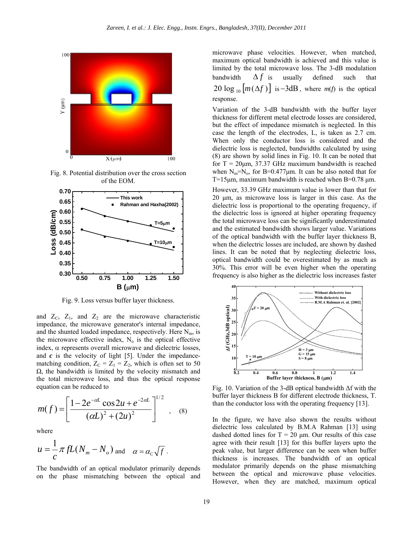

Fig. 8. Potential distribution over the cross section of the EOM.



Fig. 9. Loss versus buffer layer thickness.

and  $Z_c$ ,  $Z_1$ , and  $Z_2$  are the microwave characteristic impedance, the microwave generator's internal impedance, and the shunted loaded impedance, respectively. Here  $N<sub>m</sub>$ , is the microwave effective index,  $N<sub>o</sub>$  is the optical effective index, α represents overall microwave and dielectric losses, and  $c$  is the velocity of light  $[5]$ . Under the impedancematching condition,  $Z_C = Z_1 = Z_2$ , which is often set to 50 Ω, the bandwidth is limited by the velocity mismatch and the total microwave loss, and thus the optical response equation can be reduced to

$$
m(f) = \left[ \frac{1 - 2e^{-\alpha L} \cos 2u + e^{-2\alpha L}}{(\alpha L)^2 + (2u)^2} \right]^{1/2}, \quad (8)
$$

where

$$
u = \frac{1}{c} \pi f L(N_m - N_o) \text{ and } \alpha = \alpha_c \sqrt{f}.
$$

The bandwidth of an optical modulator primarily depends on the phase mismatching between the optical and microwave phase velocities. However, when matched, maximum optical bandwidth is achieved and this value is limited by the total microwave loss. The 3-dB modulation bandwidth  $\Delta f$  is usually defined such that 20  $\log_{10} [m(\Delta f)]$  is -3dB, where *m(f)* is the optical response.

Variation of the 3-dB bandwidth with the buffer layer thickness for different metal electrode losses are considered, but the effect of impedance mismatch is neglected. In this case the length of the electrodes, L, is taken as 2.7 cm. When only the conductor loss is considered and the dielectric loss is neglected, bandwidths calculated by using (8) are shown by solid lines in Fig. 10. It can be noted that for  $T = 20 \mu m$ , 37.37 GHz maximum bandwidth is reached when  $N_m=N_o$ , for B=0.477 $\mu$ m. It can be also noted that for T=15 $\mu$ m, maximum bandwidth is reached when B=0.78  $\mu$ m.

However, 33.39 GHz maximum value is lower than that for 20 µm, as microwave loss is larger in this case. As the dielectric loss is proportional to the operating frequency, if the dielectric loss is ignored at higher operating frequency the total microwave loss can be significantly underestimated and the estimated bandwidth shows larger value. Variations of the optical bandwidth with the buffer layer thickness B, when the dielectric losses are included, are shown by dashed lines. It can be noted that by neglecting dielectric loss, optical bandwidth could be overestimated by as much as 30%. This error will be even higher when the operating frequency is also higher as the dielectric loss increases faster



Fig. 10. Variation of the 3-dB optical bandwidth ∆f with the buffer layer thickness B for different electrode thickness, T. than the conductor loss with the operating frequency [13].

In the figure, we have also shown the results without dielectric loss calculated by B.M.A Rahman [13] using dashed dotted lines for  $T = 20 \mu m$ . Our results of this case agree with their result [13] for this buffer layers upto the peak value, but larger difference can be seen when buffer thickness is increases. The bandwidth of an optical modulator primarily depends on the phase mismatching between the optical and microwave phase velocities. However, when they are matched, maximum optical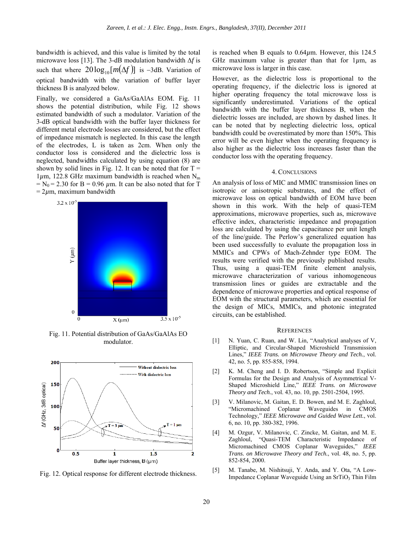bandwidth is achieved, and this value is limited by the total microwave loss [13]. The 3-dB modulation bandwidth ∆*f* is such that where  $20\log_{10}[m(\Delta f)]$  is -3dB. Variation of optical bandwidth with the variation of buffer layer thickness B is analyzed below.

Finally, we considered a GaAs/GaAlAs EOM. Fig. 11 shows the potential distribution, while Fig. 12 shows estimated bandwidth of such a modulator. Variation of the 3-dB optical bandwidth with the buffer layer thickness for different metal electrode losses are considered, but the effect of impedance mismatch is neglected. In this case the length of the electrodes, L is taken as 2cm. When only the conductor loss is considered and the dielectric loss is neglected, bandwidths calculated by using equation (8) are shown by solid lines in Fig. 12. It can be noted that for  $T =$  $1\mu$ m, 122.8 GHz maximum bandwidth is reached when N<sub>m</sub>  $=$  N<sub>0</sub> = 2.30 for B = 0.96  $\mu$ m. It can be also noted that for T  $= 2 \mu m$ , maximum bandwidth



Fig. 11. Potential distribution of GaAs/GaAlAs EO modulator.



Fig. 12. Optical response for different electrode thickness.

is reached when B equals to 0.64*µ*m. However, this 124.5 GHz maximum value is greater than that for 1*µ*m, as microwave loss is larger in this case.

However, as the dielectric loss is proportional to the operating frequency, if the dielectric loss is ignored at higher operating frequency the total microwave loss is significantly underestimated. Variations of the optical bandwidth with the buffer layer thickness B, when the dielectric losses are included, are shown by dashed lines. It can be noted that by neglecting dielectric loss, optical bandwidth could be overestimated by more than 150%. This error will be even higher when the operating frequency is also higher as the dielectric loss increases faster than the conductor loss with the operating frequency.

### 4. CONCLUSIONS

An analysis of loss of MIC and MMIC transmission lines on isotropic or anisotropic substrates, and the effect of microwave loss on optical bandwidth of EOM have been shown in this work. With the help of quasi-TEM approximations, microwave properties, such as, microwave effective index, characteristic impedance and propagation loss are calculated by using the capacitance per unit length of the line/guide. The Perlow's generalized equation has been used successfully to evaluate the propagation loss in MMICs and CPWs of Mach-Zehnder type EOM. The results were verified with the previously published results. Thus, using a quasi-TEM finite element analysis, microwave characterization of various inhomogeneous transmission lines or guides are extractable and the dependence of microwave properties and optical response of EOM with the structural parameters, which are essential for the design of MICs, MMICs, and photonic integrated circuits, can be established.

#### **REFERENCES**

- [1] N. Yuan, C. Ruan, and W. Lin, "Analytical analyses of V, Elliptic, and Circular-Shaped Microshield Transmission Lines," *IEEE Trans. on Microwave Theory and Tech.*, vol. 42, no. 5, pp. 855-858, 1994.
- [2] K. M. Cheng and I. D. Robertson, "Simple and Explicit Formulas for the Design and Analysis of Asymmetrical V-Shaped Microshield Line," *IEEE Trans. on Microwave Theory and Tech.*, vol. 43, no. 10, pp. 2501-2504, 1995.
- [3] V. Milanovic, M. Gaitan, E. D. Bowen, and M. E. Zaghloul, "Micromachined Coplanar Waveguides in CMOS Technology," *IEEE Microwave and Guided Wave Lett.*, vol. 6, no. 10, pp. 380-382, 1996.
- [4] M. Ozgur, V. Milanovic, C. Zincke, M. Gaitan, and M. E. Zaghloul, "Quasi-TEM Characteristic Impedance of Micromachined CMOS Coplanar Waveguides," *IEEE Trans. on Microwave Theory and Tech.*, vol. 48, no. 5, pp. 852-854, 2000.
- [5] M. Tanabe, M. Nishitsuji, Y. Anda, and Y. Ota, "A Low-Impedance Coplanar Waveguide Using an SrTiO<sub>3</sub> Thin Film